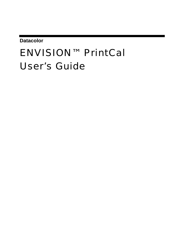**Datacolor** 

# ENVISION™ PrintCal User's Guide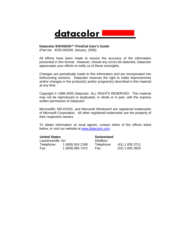

#### **Datacolor ENVISION™ PrintCal User's Guide**

(Part No. 4220-0932M, January, 2006)

All efforts have been made to ensure the accuracy of the information presented in this format. However, should any errors be detected, Datacolor appreciates your efforts to notify us of these oversights.

Changes are periodically made to this information and are incorporated into forthcoming versions. Datacolor reserve[s the right to make i](http://www.datacolor.com/)mprovements and/or changes in the product(s) and/or program(s) described in this material at any time.

Copyright © 1996-2005 Datacolor. ALL RIGHTS RESERVED. This material may not be reproduced or duplicated, in whole or in part, with the express written permission of Datacolor.

Microsoft®, MS-DOS®, and Microsoft Windows® are registered trademarks of Microsoft Corporation. All other registered trademarks are the property of their respective owners.

To obtain information on local agents, contact either of the offices listed below, or visit our website at www.datacolor.com.

#### **United States**

**Switzerland** 

| Lawrenceville, NJ |                  | Dietlikon  |                 |
|-------------------|------------------|------------|-----------------|
| Telephone:        | 1 (609) 924 2189 | Telephone: | (41) 1 835 3711 |
| Fax:              | 1 (609) 895 7472 | Fax:       | (41) 1 835 3820 |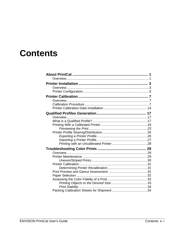# **Contents**

| Print Stability |  |
|-----------------|--|
|                 |  |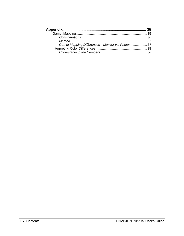| Gamut Mapping Differences-Monitor vs. Printer  37 |  |
|---------------------------------------------------|--|
|                                                   |  |
|                                                   |  |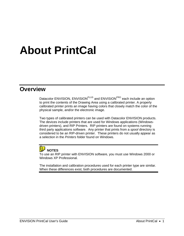# **About PrintCal**

#### **Overview**

Datacolor ENVISION, ENVISION<sup>PLUS</sup> and ENVISION<sup>PRO</sup> each include an option to print the contents of the Drawing Area using a calibrated printer. A properly calibrated printer prints an image having colors that closely match the color of the physical sample, and/or the electronic image.

Two types of calibrated printers can be used with Datacolor ENVISION products. The devices include printers that are used for Windows applications (Windowsdriven printers), and RIP Printers. RIP printers are found on systems running third party applications software. Any printer that prints from a *spool* directory is considered to be an RIP-driven printer. These printers do not usually appear as a selection in the *Printers* folder found on Windows.

#### 晦 **NOTES**

To use an RIP printer with ENVISION software, you must use Windows 2000 or Windows XP Professional.

The installation and calibration procedures used for each printer type are similar. When these differences exist, both procedures are documented.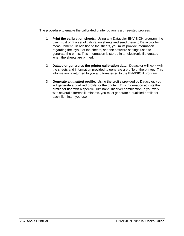The procedure to enable the calibrated printer option is a three-step process:

- 1. **Print the calibration sheets.** Using any Datacolor ENVISION program, the user must print a set of calibration sheets and send these to Datacolor for measurement. In addition to the sheets, you must provide information regarding the layout of the sheets, and the software settings used to generate the prints. This information is stored in an electronic file created when the sheets are printed.
- 2. **Datacolor generates the printer calibration data.** Datacolor will work with the sheets and information provided to generate a profile of the printer. This information is returned to you and transferred to the ENVISION program.
- 3. **Generate a** *qualified* **profile.** Using the profile provided by Datacolor, you will generate a qualified profile for the printer. This information adjusts the profile for use with a specific Illuminant/Observer combination. If you work with several different illuminants, you must generate a qualified profile for each illuminant you use.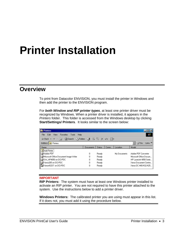# **Printer Installation**

#### **Overview**

To print from Datacolor ENVISION, you must install the printer in Windows and then add the printer to the ENVISION program.

For *both Window and RIP printer types*, at least one printer driver must be recognized by Windows. When a printer driver is installed, it appears in the *Printers* folder. This folder is accessed from the Windows desktop by clicking **Start/Settings/ Printers**. It looks similar to the screen below:

| <b>B</b> Printers                                  |           |               |                |              |                                                |
|----------------------------------------------------|-----------|---------------|----------------|--------------|------------------------------------------------|
| Edit<br>View<br>Help<br>File<br>Favorites<br>Tools |           |               |                |              | m                                              |
| @ Search 名Folders ③   階 堅 ×<br>←Back ▼ ⇒ ▼ 向       |           |               | 国・<br>$\infty$ |              |                                                |
| Address <b>8</b> Printers                          |           |               |                |              | Links <sup>&gt;&gt;</sup><br>$\hat{\alpha}$ Go |
| Name                                               | Documents | <b>Status</b> | Comm.          | Location     | Model                                          |
| Add Printer                                        |           |               |                |              |                                                |
| Adobe PDF                                          | 0         | Ready         |                | My Documents | Adobe PDF Converter                            |
| Microsoft Office Document Image Writer             | n         | Ready         |                |              | Microsoft Office Docum                         |
| SW_HP4050 on DCI-PDC                               | Ω         | Ready         |                |              | HP LaserJet 4050 Serie                         |
| Xerox265 on DCI-PDC                                | 0         | Ready         |                |              | Xerox Document Centre                          |
| Xerox432ST on DCI-PDC                              | 0         | Ready         |                |              | Xerox DC 440/432/425.                          |

#### **IMPORTANT**

**RIP Printers:** The system must have at least one Windows printer installed to activate an RIP printer. You are not required to have this printer attached to the system. Use the instructions below to add a printer driver.

**Windows Printers:** The calibrated printer you are using must appear in this list. If it does not, you must add it using the procedure below.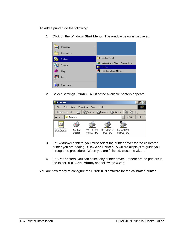To add a printer, do the following:

1. Click on the Windows **Start Menu**. The window below is displayed:



2. Select **Settings/Printer**. A list of the available printers appears:

| <b>B</b> Printers |      |                                             |                  |                         |                         |                          |                     |
|-------------------|------|---------------------------------------------|------------------|-------------------------|-------------------------|--------------------------|---------------------|
| File              | Edit | View                                        | <b>Favorites</b> | Tools                   | Help                    |                          |                     |
|                   |      | ← Back ▼ → 下国   © Search E Folders GHistory |                  |                         |                         | <b>暗電 ×</b>              | $\rightarrow$       |
|                   |      | Address <b>6</b> Printers                   |                  |                         |                         | r≫Go                     | Links $\rightarrow$ |
|                   |      |                                             |                  |                         |                         |                          |                     |
| Add Printer       |      | Acrobat<br>Distiller                        |                  | SW HP4050<br>on DCI-PDC | Xerox265 on<br>DCI-PDC. | Xerox432ST<br>on DCI-PDC |                     |

- 3. For *Windows* printers, you must select the printer driver for the calibrated printer you are adding. Click **Add Printer.** A wizard displays to guide you through the procedure. When you are finished, close the wizard.
- 4. For *RIP* printers, you can select any printer driver. If there are no printers in the folder, click **Add Printer,** and follow the wizard.

You are now ready to configure the ENVISION software for the calibrated printer.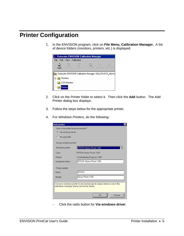## **Printer Configuration**

1. In the ENVISION program, click on **File Menu, Calibration Manager.** A list of device folders (monitors, printers, etc.) is displayed:



- 2. Click on the *Printer* folder to select it. Then click the **Add** button. The Add Printer dialog box displays.
- 3. Follow the steps below for the appropriate printer.
- 4. For *Windows Printers*, do the following:

| <b>Add printer</b>                           |                                                                          | $\overline{\mathbf{x}}$ |
|----------------------------------------------|--------------------------------------------------------------------------|-------------------------|
| How is the printer to be accessed?           |                                                                          |                         |
| C Via windows driver.                        |                                                                          |                         |
| C Via spool file.                            |                                                                          |                         |
| Assign windows printer                       |                                                                          |                         |
| Windows printer:                             | EPSON Stylus Photo 1200                                                  |                         |
| Type:                                        | EPSON Stylus Photo 1200                                                  |                         |
| Where:                                       | \\Coloritedrex2\epson 1200                                               |                         |
| Assigned name:                               | EPSON Stylus Photo 1200                                                  |                         |
| Printer details                              |                                                                          |                         |
| Make:                                        | EPSON                                                                    |                         |
| Model:                                       | Stylus Photo 1200                                                        |                         |
| calibration manager (these can be the same). | Choose a windows printer to use and assign its unique name to use in the |                         |
|                                              | OK<br>Cancel                                                             |                         |

− Click the radio button for **Via windows driver**.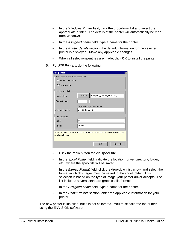- In the *Windows Printer* field, click the drop-down list and select the appropriate printer. The details of the printer will automatically be read from Windows.
- − In the *Assigned name* field, type a name for the printer.
- In the Printer details section, the default information for the selected printer is displayed. Make any applicable changes.
- When all selections/entries are made, click OK to install the printer.
- 5. For *RIP Printers*, do the following:

| <b>Add printer</b>                                           |                                                                                       |  |
|--------------------------------------------------------------|---------------------------------------------------------------------------------------|--|
| How is the printer to be accessed?<br>C. Via windows driver. |                                                                                       |  |
| C Via spool file.                                            |                                                                                       |  |
| Assign spool file                                            |                                                                                       |  |
| Spool folder:                                                | C:\Spool_folders\lris.spool\<br><b>Browse</b>                                         |  |
| Bitmap format:                                               | tif                                                                                   |  |
|                                                              | Tagged Image File Format                                                              |  |
| Assigned name:                                               | Design Team - Iris                                                                    |  |
| Printer details                                              |                                                                                       |  |
| Make:                                                        | lris                                                                                  |  |
| Model:                                                       | Realist                                                                               |  |
| of bitmap to write.                                          | Select or enter the folder for the spool files to be written too, and select the type |  |
|                                                              | OK<br>Cancel                                                                          |  |

- − Click the radio button for **Via spool file**.
- − In the *Spool Folder* field, indicate the location (drive, directory, folder, etc.) where the spool file will be saved.
- − In the *Bitmap Format* field, click the drop-down list arrow, and select the format in which images must be saved to the spool folder*.* This selection is based on the type of image your printer driver accepts. The list includes several standard graphics file formats.
- − In the *Assigned name* field, type a name for the printer.
- − In the *Printer details* section, enter the applicable information for your printer.

The new printer is installed, but it is not calibrated. You must calibrate the printer using the ENVISION software.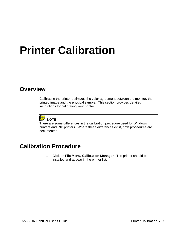# **Printer Calibration**

#### **Overview**

Calibrating the printer optimizes the color agreement between the monitor, the printed image and the physical sample. This section provides detailed instructions for calibrating your printer.



There are some differences in the calibration procedure used for Windows printers and RIP printers. Where these differences exist, both procedures are documented.

## **Calibration Procedure**

1. Click on **File Menu, Calibration Manager**. The printer should be installed and appear in the printer list.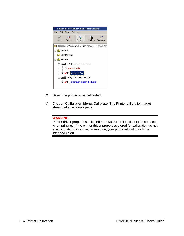

- *2.* Select the printer to be calibrated.
- *3.* Click on **Calibration Menu, Calibrate.** The Printer calibration target sheet maker window opens.

#### **WARNING**

Printer driver properties selected here MUST be identical to those used when printing. If the printer driver properties stored for calibration do not exactly match those used at run time, your prints will not match the intended color!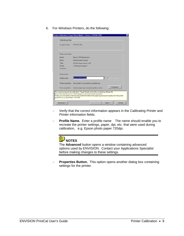6. For *Windows* Printers, do the following:

| Calibrating printer: |                                                            |
|----------------------|------------------------------------------------------------|
| Assigned name:       | <b>EPSON 1200</b>                                          |
| Printer information  |                                                            |
| Name:                | Epson 1200 (thompson)                                      |
| Status:              | Default printer; Ready                                     |
| Type:                | EPSON Stylus Photo 1200                                    |
| Where:               | \\Tthompson\epson                                          |
| Comment              |                                                            |
|                      |                                                            |
| Setup profile:       |                                                            |
| Profile name:        | Epson photo paper<br>El Relaintenzel<br>₩                  |
|                      | sheetidentfer.                                             |
| Profile properties:  | New profile, No properties evailable yet.                  |
|                      | Properties<br>Include paper type and print quality in name |
| Driver properties:   |                                                            |

- − Verify that the correct information appears in the *Calibrating Printer* and *Printer information* fields.
- − **Profile Name.** Enter a profile name The name should enable you to recreate the printer settings, paper, dpi, etc. that were used during calibration, e.g. Epson photo paper 720dpi.



The **Advanced** button opens a window containing advanced options used by ENVISION. Contact your Applications Specialist before making changes to these settings.

**Properties Button.** This option opens another dialog box containing settings for the printer.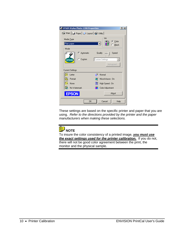| <b>EPSON Stylus Photo 1200 Properties</b>      | ? x  |
|------------------------------------------------|------|
| Gi Main   @ Paper   @ Layout   @ Utility       |      |
| Ink<br>Media Type                              |      |
| C Color<br>Plain paper<br>$\bigcirc$ Black     |      |
| Mode                                           |      |
| C Automatic<br>Quality<br>Speed                |      |
| C Custom<br>Custom Settings<br><b>EPSON</b>    |      |
| Advanced                                       |      |
| <b>Current Settings</b>                        |      |
| ШP<br>Normal<br>Letter<br><b>Fre</b>           |      |
| MicroWeave: On<br>Portrait<br>Œ                |      |
| 曝<br>High Speed: On<br>None                    |      |
| <b>Ich</b><br>No Watermark<br>Color Adjustment |      |
| About<br><b>FPSON</b>                          |      |
| OK<br>Cancel                                   | Help |

These settings are based on the specific printer and paper that you are using. *Refer to the directions provided by the printer and the paper manufacturers when making these selections.* 



To insure the color consistency of a printed image, *you must use the exact settings used for the printer calibration.* If you do not, there will not be good color agreement between the print, the monitor and the physical sample.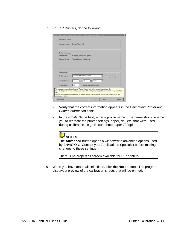7. For RIP Printers, do the following:

| F Betron torget |
|-----------------|
| The etident fer |
|                 |
|                 |
|                 |
|                 |

- − Verify that the correct information appears in the *Calibrating Printer* and *Printer information* fields.
- − In the *Profile Name* field, enter a profile name. The name should enable you to recreate the printer settings, paper, dpi, etc. that were used during calibration - e.g., Epson photo paper 720dpi.



The **Advanced** button opens a window with advanced options used by ENVISION. Contact your Applications Specialist before making changes to these settings.

There is no properties screen available for RIP printers.

8. When you have made all selections, click the **Next** button. The program displays a preview of the calibration sheets that will be printed.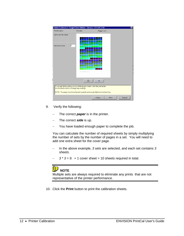| Profile name:                               | Preview:                                                                                                                                                            | Page 1 of 3                                        |       |        |
|---------------------------------------------|---------------------------------------------------------------------------------------------------------------------------------------------------------------------|----------------------------------------------------|-------|--------|
| Epson photo paper                           |                                                                                                                                                                     |                                                    |       |        |
| Number of sets:                             | 3<br>to have seen term and a band and                                                                                                                               |                                                    |       |        |
|                                             | $=$                                                                                                                                                                 |                                                    |       |        |
| Use the back button to change any settings. | To accept all the settings and print the target sheets, click the print button.<br>NOTE: The paper must be alligned correctly and snugly fitted into the feed tray. |                                                    |       |        |
|                                             |                                                                                                                                                                     | <back< td=""><td>Print</td><td>Cancel</td></back<> | Print | Cancel |

- 9. Verify the following:
	- − The correct *paper* is in the printer.
	- − The correct *side* is up.
	- − You have loaded enough paper to complete the job.

You can calculate the number of required sheets by simply multiplying the number of sets by the number of pages in a set. You will need to add one extra sheet for the cover page.

- − In the above example, *3 sets* are selected, and each set contains *3 sheets.*
- 3 <sup>\*</sup> 3 = 9. + 1 cover sheet = 10 sheets required in total.



Multiple sets are always required to eliminate any prints that are not representative of the printer performance.

10. Click the **Print** button to print the calibration sheets.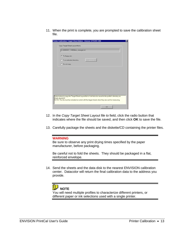11. When the print is complete, you are prompted to save the calibration sheet file.

| G To floppy (a:).<br><b>Brawse</b><br>C To a selected directory.<br>C Do not copy. |
|------------------------------------------------------------------------------------|
|                                                                                    |
|                                                                                    |
|                                                                                    |
|                                                                                    |
|                                                                                    |
|                                                                                    |
|                                                                                    |
|                                                                                    |
|                                                                                    |
|                                                                                    |
|                                                                                    |

- 12. In the *Copy Target Sheet Layout file to* field, click the radio button that indicates where the file should be saved, and then click **OK** to save the file.
- 13. Carefully package the sheets and the diskette/CD containing the printer files.

#### **WARNING**

Be sure to observe any print drying times specified by the paper manufacturer, before packaging.

Be careful not to fold the sheets. They should be packaged in a flat, reinforced envelope.

14. Send the sheets and the data disk to the nearest ENVISION calibration center. Datacolor will return the final calibration data to the address you provide.



You will need multiple profiles to characterize different printers, or different paper or ink selections used with a single printer.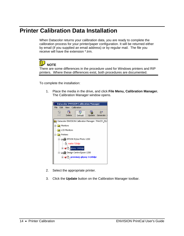### **Printer Calibration Data Installation**

When Datacolor returns your calibration data, you are ready to complete the calibration process for your printer/paper configuration. It will be returned either by email (if you supplied an email address) or by regular mail. The file you receive will have the extension \*.trm.



There are some differences in the procedure used for Windows printers and RIP printers. Where these differences exist, both procedures are documented.

To complete the installation:

1. Place the media in the drive, and click **File Menu, Calibration Manager.**  The Calibration Manager window opens.



- 2. Select the appropriate printer.
- 3. Click the **Update** button on the Calibration Manager toolbar.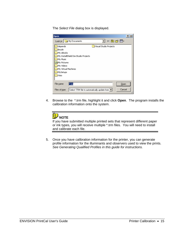The *Select File* dialog box is displayed.

| <b>Open</b>                                                                   |  |
|-------------------------------------------------------------------------------|--|
| ←白春雨•<br>Look in: G My Documents                                              |  |
| depends<br>Visual Studio Projects                                             |  |
| lincoln                                                                       |  |
| My eBooks                                                                     |  |
| My InstallShield DevStudio Projects                                           |  |
| My Music                                                                      |  |
| My Pictures                                                                   |  |
| My Videos                                                                     |  |
| My Virtual Machines                                                           |  |
| MySetups                                                                      |  |
| Visio                                                                         |  |
|                                                                               |  |
| File name:<br>Open<br>l*.trm                                                  |  |
| Cancel<br>Files of type:<br>Select TRM file to automatically update from   \" |  |

4. Browse to the \*.trm file, highlight it and click **Open**. The program installs the calibration information onto the system.



If you have submitted multiple printed sets that represent different paper or ink types, you will receive multiple \*.trm files. You will need to install and calibrate each file.

5. Once you have calibration information for the printer, you can generate profile information for the illuminants and observers used to view the prints. *See Generating Qualified Profiles in this guide for instructions.*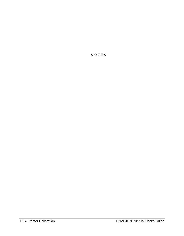*N O T E S*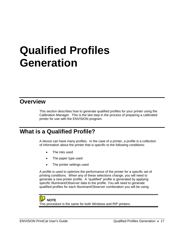# **Qualified Profiles Generation**

#### **Overview**

This section describes how to generate qualified profiles for your printer using the Calibration Manager. This is the last step in the process of preparing a calibrated printer for use with the ENVISION program.

### **What is a Qualified Profile?**

A device can have many profiles. In the case of a printer, a profile is a collection of information about the printer that is specific to the following conditions:

- The inks used
- The paper type used
- The printer settings used

A profile is used to optimize the performance of the printer for a specific set of printing conditions. When any of these selections change, you will need to generate a new printer profile. A "qualified" profile is generated by applying specific Illuminant/Observer data to the profile. You will need to generate qualified profiles for each Illuminant/Observer combination you will be using.

#### **NOTE**

This procedure is the same for both Windows and RIP printers.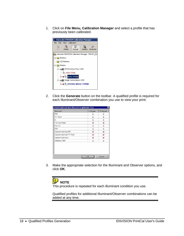1. Click on **File Menu, Calibration Manager** and select a profile that has previously been calibrated.



2. Click the **Generate** button on the toolbar. A qualified profile is required for each Illuminant/Observer combination you use to view your print:

|                           | 2 Degree | 10 Degree |
|---------------------------|----------|-----------|
| D65                       |          |           |
| F11 TL84                  | Ξ        | ω         |
| А                         | ⊟        |           |
| F02 Cool White            |          |           |
| Horizon                   | Пł       |           |
| D50                       | ⊞        |           |
| Cabinet VeriVide D65      | ø        |           |
| Cabinet VeriVide F11 TL84 |          |           |
| Cabinet VeriVide A        |          |           |
| Ultralume 3000            |          |           |

3. Make the appropriate selection for the Illuminant and Observer options, and click **OK**.



This procedure is repeated for each illuminant condition you use.

Qualified profiles for additional Illuminant/Observer combinations can be added at any time.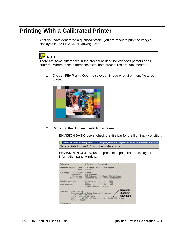### <span id="page-24-0"></span>**Printing With a Calibrated Printer**

After you have generated a qualified profile, you are ready to print the images displayed in the ENVISION Drawing Area.



There are some differences in the procedure used for Windows printers and RIP printers. Where these differences exist, both procedures are documented.

1. Click on **File Menu, Open** to select an image or environment file to be printed.



- 2. Verify that the illuminant selection is correct.
	- ENVISION BASIC users, check the title bar for the Illuminant condition.

Oatacolor ENVISION : Displaying D65 2 Degree, Default Background Colour, Environment Selected File View Display Environment Monitor Colour Conditions About

ENVISION PLUS/PRO users, press the space bar to display the information panel window.

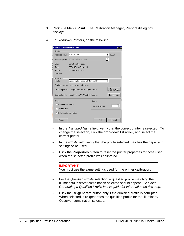- 3. Click **File Menu**, **Print.** The Calibration Manager, Preprint dialog box displays:
- 4. For *Windows* Printers, do the following:

| <b>Calibration Manager Pre-Print</b> |                                                           |        |                   |             |
|--------------------------------------|-----------------------------------------------------------|--------|-------------------|-------------|
| Printer                              |                                                           |        |                   |             |
| Assigned name:                       | EPSON 1200                                                |        |                   | Default     |
| Windows printer:                     | Epson 1200 (tthompson)                                    |        |                   |             |
| Status:                              | Default printer; Ready                                    |        |                   |             |
| Type:                                | EPSON Stylus Photo 1200                                   |        |                   |             |
| Where:                               | \\Tthompson\epson                                         |        |                   |             |
| Comment                              |                                                           |        |                   |             |
| Print using                          |                                                           |        |                   |             |
| Profile:                             | premium photo paper at PQ glossy film                     |        |                   |             |
|                                      | Profile properties: No properties available yet.          |        |                   |             |
|                                      | Driver properties: Change so they match the profile name. |        |                   | Properties  |
| Qualified profile:                   | Found. Cabinet VeriVide D65 2 Degree.                     |        |                   | Re-generate |
| Show                                 |                                                           | Copies |                   |             |
| □ Only selected objects              |                                                           |        | Number of copies: | I1          |
| $\Gamma$ All text in black           |                                                           |        |                   |             |
| $\nabla$ Include footer information  |                                                           |        |                   |             |
| Preview                              |                                                           |        | Print             | Cancel      |

- − In the *Assigned Name* field, verify that the correct printer is selected. To change the selection, click the drop-down list arrow, and select the correct printer.
- In the *Profile* field, verify that the profile selected matches the paper and settings to be used.
- − Click the **Properties** button to reset the printer properties to those used when the selected profile was calibrated.

**IMPORTANT!!**  You must use the same settings used for the printer calibration.

- − For the *Qualified Profile* selection, a qualified profile matching the Illuminant/Observer combination selected should appear. *See also Generating a Qualified Profile in this guide for information on this step.*
- − Click the **Re-generate** button only if the qualified profile is corrupted. When selected, it re-generates the qualified profile for the Illuminant/ Observer combination selected.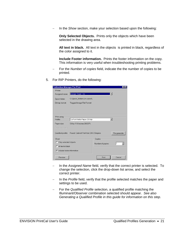− In the *Show* section, make your selection based upon the following:

**Only Selected Objects.** Prints only the objects which have been selected in the drawing area.

**All text in black.** All text in the objects is printed in black, regardless of the color assigned to it.

**Include Footer information.** Prints the footer information on the copy. This information is very useful when troubleshooting printing problems.

- For the *Number of copies* field, indicate the the number of copies to be printed.
- 5. For RIP Printers, do the following:

| <b>Calibration Manager Pre-Print</b> |                                                          |                   |             |
|--------------------------------------|----------------------------------------------------------|-------------------|-------------|
| Printer                              |                                                          |                   |             |
| Assigned name:                       | Design Team - Iris                                       |                   |             |
| Spool folder:                        | C:\Spool_folders\lris.spool\                             |                   |             |
| Bitmap format:                       | Tagged Image File Format                                 |                   |             |
|                                      |                                                          |                   |             |
|                                      |                                                          |                   |             |
| Print using                          |                                                          |                   |             |
| Profile:                             | DuPont Matte Paper 200 dpi                               |                   |             |
| Paper size:                          | 9.0 by 11.0 inches 200 DPI.                              |                   |             |
| Driver properties:                   |                                                          |                   |             |
|                                      | Qualified profile: Found. Cabinet VeriVide D65 2 Degree. |                   | Re-generate |
| Show                                 |                                                          | Copies            |             |
| Only selected objects                |                                                          | Number of copies: | I1          |
| $\Gamma$ All text in black           |                                                          |                   |             |
| $\nabla$ Include footer information  |                                                          |                   |             |
| Preview                              |                                                          | Print             | Cancel      |

- − In the *Assigned Name* field, verify that the correct printer is selected. To change the selection, click the drop-down list arrow, and select the correct printer.
- In the *Profile* field, verify that the profile selected matches the paper and settings to be used.
- − For the *Qualified Profile* selection, a qualified profile matching the Illuminant/Observer combination selected should appear. *See also Generating a Qualified Profile in this guide for information on this step.*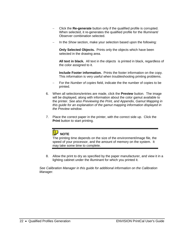- − Click the **Re-generate** button only if the qualified profile is corrupted. When selected, it re-generates the qualified profile for the Illuminant/ Observer combination selected.
- − In the *Show* section, make your selection based upon the following:

**Only Selected Objects.** Prints only the objects which have been selected in the drawing area.

**All text in black.** All text in the objects is printed in black, regardless of the color assigned to it.

**Include Footer information.** Prints the footer information on the copy. This information is very useful when troubleshooting printing problems.

- For the *Number of copies* field, indicate the the number of copies to be printed.
- 6. When all selections/entries are made, click the **Preview** button. The image will be displayed, along with information about the color gamut available to the printer. *See also Previewing the Print, and Appendix, Gamut Mapping in this guide for an explanation of the gamut mapping information displayed in the Preview window.*
- 7. Place the correct paper in the printer, with the correct side up. Click the **Print** button to start printing.



The printing time depends on the size of the environment/image file, the speed of your processor, and the amount of memory on the system. It may take some time to complete.

8. Allow the print to dry as specified by the paper manufacturer, and view it in a lighting cabinet under the illuminant for which you printed it.

*See Calibration Manager in this guide for additional information on the Calibration Manager.*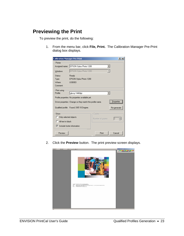#### <span id="page-28-0"></span>**Previewing the Print**

To preview the print, do the following:

1. From the menu bar, click **File, Print.** The Calibration Manager Pre-Print dialog box displays.

| <b>Calibration Manager Pre-Print</b> |                                                           |                     |             |
|--------------------------------------|-----------------------------------------------------------|---------------------|-------------|
| Printer                              |                                                           |                     |             |
| Assigned name:                       | EPSON Stylus Photo 1200                                   |                     |             |
| Windows                              | EPSON Stylus Photo 1200                                   |                     |             |
| Status:                              | Ready                                                     |                     |             |
| Type:                                | EPSON Stylus Photo 1200                                   |                     |             |
| Where:                               | LISB003                                                   |                     |             |
| Comment:                             |                                                           |                     |             |
| Print using                          |                                                           |                     |             |
| Profile:                             | glossy 1440dpi                                            |                     |             |
|                                      | Profile properties: No properties available yet.          |                     |             |
|                                      | Driver properties: Change so they match the profile name. |                     | Properties  |
|                                      | Qualified profile: Found. D65 10 Degree.                  |                     | Re-generate |
| Show                                 |                                                           | Copies <sup>-</sup> |             |
| Only selected objects                |                                                           | Number of copies:   | ÷           |
| All text in black                    |                                                           |                     |             |
| $\nabla$ Include footer information  |                                                           |                     |             |
| Preview                              |                                                           | Print               | Cancel      |

2. Click the **Preview** button. The print preview screen displays.

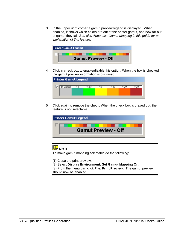3. In the upper right corner a gamut preview legend is displayed. When enabled, it shows which colors are out of the printer gamut, and how far out of gamut they fall. *See also Appendix, Gamut Mapping in this guide for an explanation of this feature.* 



4. Click in check box to enable/disable this option. When the box is checked, the gamut preview information is displayed.



5. Click again to remove the check. When the check box is grayed out, the feature is not selectable.





To make gamut mapping selectable do the following:

(1) Close the print preview.

(2) Select **Display Environment, Set Gamut Mapping On**.

(3) From the menu bar, click **File, Print/Preview.** The gamut preview should now be enabled.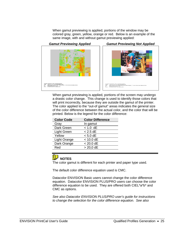When gamut previewing is applied, portions of the window may be colored gray, green, yellow, orange or red. Below is an example of the same image, with and without gamut previewing applied:



*Gamut Previewing Applied Gamut Previewing Not Applied*



When gamut previewing is applied, portions of the screen may undergo a drastic color change. This change is used to identify those colors that will print incorrectly, because they are outside the gamut of the printer. The color applied to the "out-of gamut" areas indicates the general size of the color difference between the actual color, and the color that will be printed. Below is the legend for the color difference:

| <b>Color Code</b> | <b>Color Difference</b> |
|-------------------|-------------------------|
| Gray              | In gamut                |
| Dark Green        | $< 1.0$ dE              |
| Light Green       | $< 2.5$ dE              |
| Yellow            | $< 5.0$ dE              |
| Light Orange      | $< 10.0$ dE             |
| Dark Orange       | < 20.0 dE               |
| Red               | $> 20.0$ dE             |
|                   |                         |



The color gamut is different for each printer and paper type used.

The default color difference equation used is CMC.

Datacolor ENVISION Basic users cannot change the color difference equation. Datacolor ENVISION PLUS/PRO users can choose the color difference equation to be used. They are offered both CIEL\*a\*b\* and CMC as options.

*See also Datacolor ENVISION PLUS/PRO user's guide for instructions to change the selection for the color difference equation. See also*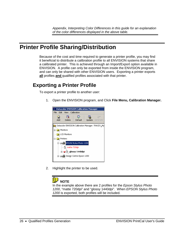### <span id="page-31-0"></span>**Printer Profile Sharing/Distribution**

<span id="page-31-1"></span>Because of the cost and time required to generate a printer profile, you may find it beneficial to distribute a calibration profile to all ENVISION systems that share a calibrated printer. This is achieved through an Import/Export option available in ENVISION. A profile can only be exported from inside the ENVISION program, and can only be shared with other ENVISION users. Exporting a printer exports **all** profiles **and** qualified profiles associated with that printer.

#### **Exporting a Printer Profile**

To export a printer profile to another user:

1. Open the ENVISION program, and Click **File Menu, Calibration Manager.** 



2. Highlight the printer to be used.



In the example above there are 2 profiles for the *Epson Stylus Photo 1200*, "matte 720dpi" and "glossy 1440dpi". When *EPSON Stylus Photo 1200* is exported, both profiles will be included.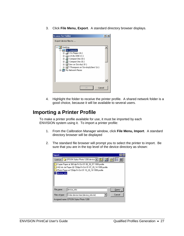3. Click **File Menu, Export**. A standard directory browser displays.

<span id="page-32-0"></span>

4. Highlight the folder to receive the printer profile. A shared network folder is a good choice, because it will be available to several users.

#### **Importing a Printer Profile**

To make a printer profile available for use, it must be imported by each ENVISION system using it. To import a printer profile:

- 1. From the Calibration Manager window, click **File Menu, Import**. A standard directory browser will be displayed
- 2. The standard file browser will prompt you to select the printer to import. Be sure that you are in the top level of the device directory as shown:

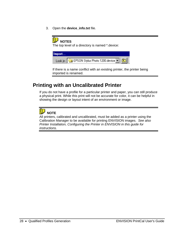3. Open the **device\_info.txt** file.

#### <span id="page-33-0"></span> **NOTES**  The top level of a directory is named \*.device: Import... Look in: G EPSON Stylus Photo 1200 device **R**

If there is a name conflict with an existing printer, the printer being imported is renamed.

#### **Printing with an Uncalibrated Printer**

If you do not have a profile for a particular printer and paper, you can still produce a physical print. While this print will not be accurate for color, it can be helpful in showing the design or layout intent of an environment or image.

## **NOTE**

All printers, calibrated and uncalibrated, must be added as a printer using the Calibration Manager to be available for printing ENVISION images. *See also Printer Installation, Configuring the Printer in ENVISION in this guide for instructions.*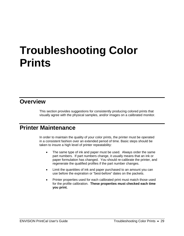# <span id="page-34-2"></span><span id="page-34-1"></span><span id="page-34-0"></span>**Troubleshooting Color Prints**

#### **Overview**

This section provides suggestions for consistently producing colored prints that visually agree with the physical samples, and/or images on a calibrated monitor.

#### **Printer Maintenance**

In order to maintain the quality of your color prints, the printer must be operated in a consistent fashion over an extended period of time. Basic steps should be taken to insure a high level of printer repeatability:

- The same type of ink and paper must be used. Always order the same part numbers. If part numbers change, it usually means that an ink or paper formulation has changed. You should re-calibrate the printer, and regenerate the qualified profiles if the part number changes.
- Limit the quantities of ink and paper purchased to an amount you can use before the expiration or "best-before" dates on the packets.
- Printer properties used for each calibrated print must match those used for the profile calibration. **These properties must checked each time you print.**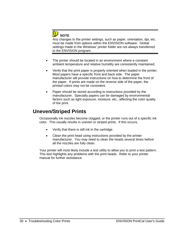

Any changes to the printer settings, such as paper, orientation, dpi, etc. must be made from options within the ENVISION software. Global settings made in the Windows' printer folder are not always transferred to the ENVISION program.

- <span id="page-35-0"></span>The printer should be located in an environment where a constant ambient temperature and relative humidity are consistently maintained.
- Verify that the print paper is properly oriented when loaded in the printer. Most papers have a specific front and back side. The paper manufacturer will provide instructions on how to determine the front of the paper. If prints are made on the reverse side of the paper, the printed colors may not be consistent.
- Paper should be stored according to instructions provided by the manufacturer. Specialty papers can be damaged by environmental factors such as light exposure, moisture, etc., affecting the color quality of the print.

#### **Uneven/Striped Prints**

Occasionally ink nozzles become clogged, or the printer runs out of a specific ink color. This usually results in uneven or striped prints. If this occurs,

- Verify that there is still ink in the cartridge.
- Clean the print head using instructions provided by the printer manufacturer. You may need to clean the heads several times before all the nozzles are fully clean.

Your printer will most likely include a test utility to allow you to print a test pattern. This test highlights any problems with the print heads. Refer to your printer manual for further assistance.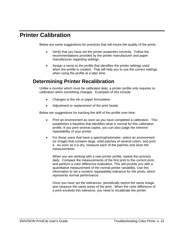### <span id="page-36-0"></span>**Printer Calibration**

<span id="page-36-1"></span>Below are some suggestions for practices that will insure the quality of the prints:

- Verify that you have set the printer properties correctly. Follow the recommendations provided by the printer manufacturer and paper manufacturer regarding settings.
- Assign a name to the profile that identifies the printer settings used when the profile is created. That will help you to use the correct settings when using the profile at a later time.

#### **Determining Printer Recalibration**

Unlike a monitor which must be calibrated daily, a printer profile only requires recalibration when something changes. Examples of this include:

- Changes to the ink or paper formulation.
- Adjustment or replacement of the print heads.

Below are suggestions for tracking the drift of the profile over time:

- Print an environment as soon as you have completed a calibration. This establishes a baseline that identifies what is normal for this calibration profile. If you print several copies, you can also judge the inherent repeatability of your printer.
- For those users that have a spectrophotometer, select an environment (or image) that contains large, solid patches of several colors, and print it. As soon as it is dry, measure each of the patches and store the measurements.

When you are working with a new printer profile, repeat this process daily. Compare the measurements of the first print to the current print, and perform a color difference evaluation. This will provide you with a quantitative measurement of the normal printer variability. Use this information to set a numeric repeatability tolerance for the prints, which represents normal performance.

Once you have set the tolerances, periodically reprint the same image, and measure the same areas of the print. When the color difference of a print exceeds this tolerance, you need to recalibrate the printer.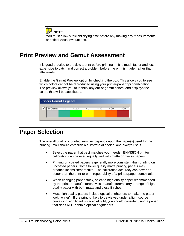<span id="page-37-0"></span>**NOTE** You must allow sufficient drying time before any making any measurements or critical visual evaluations.

### **Print Preview and Gamut Assessment**

It is good practice to preview a print before printing it. It is much faster and less expensive to catch and correct a problem before the print is made, rather than afterwards.

<span id="page-37-1"></span>Enable the Gamut Preview option by checking the box. This allows you to see which colors cannot be reproduced using your printer/paper/dpi combination. The preview allows you to identify any out-of-gamut colors, and displays the colors that will be substituted.



#### **Paper Selection**

The overall quality of printed samples depends upon the paper(s) used for the printing. You should establish a substrate of choice, and always use it.

- Select the paper that best matches your needs. ENVISION printer calibration can be used equally well with matte or glossy papers.
- Printing on coated papers is generally more consistent than printing on uncoated papers. Some lower quality matte printing papers may produce inconsistent results. The calibration accuracy can never be better than the print-to-print repeatability of a printer/paper combination.
- When changing paper stock, select a high quality paper recommended by the printer manufacturer. Most manufacturers carry a range of high quality paper with both matte and gloss finishes.
- Most high quality papers include optical brighteners to make the paper look "whiter". If the print is likely to be viewed under a light source containing significant ultra-violet light, you should consider using a paper that does NOT contain optical brighteners.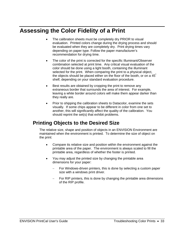### <span id="page-38-0"></span>**Assessing the Color Fidelity of a Print**

- The calibration sheets must be completely dry PRIOR to visual evaluation. Printed colors change during the drying process and should be evaluated when they are completely dry. Print drying times vary depending on paper type. Follow the paper manufacturer's recommendation for drying time.
- <span id="page-38-1"></span>The color of the print is corrected for the specific Illuminant/Observer combination selected at print time. Any critical visual evaluation of the color should be done using a light booth, containing the illuminant selected for the print. When comparing the print to a physical object, the objects should be placed either on the floor of the booth, or on a 45<sup>°</sup> shelf, depending on your standard evaluation procedure.
- Best results are obtained by cropping the print to remove any extraneous border that surrounds the area of interest. For example, leaving a white border around colors will make them appear darker than they really are.
- Prior to shipping the calibration sheets to Datacolor, examine the sets visually. If some chips appear to be different in color from one set to another, this will significantly affect the quality of the calibration. You should reprint the set(s) that exhibit problems.

#### **Printing Objects to the Desired Size**

The relative size, shape and position of objects in an ENVISION Environment are maintained when the environment is printed. To determine the size of object on the print:

- Compare its relative size and position within the environment against the printable area of the paper. The environment is always scaled to fill the printable area, regardless of whether the footer is printed.
- You may adjust the printed size by changing the printable area dimensions for your paper:
	- For Windows-driven printers, this is done by selecting a custom paper size with a windows print driver.
	- For RIP printers, this is done by changing the printable area dimensions of the RIP profile.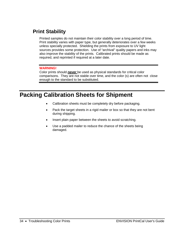#### <span id="page-39-0"></span>**Print Stability**

<span id="page-39-1"></span>Printed samples do not maintain their color stability over a long period of time. Print stability varies with paper type, but generally deteriorates over a few weeks unless specially protected. Shielding the prints from exposure to UV light sources provides some protection. Use of "archival" quality papers and inks may also improve the stability of the prints. Calibrated prints should be made as required, and reprinted if required at a later date.

#### **WARNING!**

Color prints should *never* be used as physical standards for critical color comparisons. They are not stable over time, and the color (s) are often not close enough to the standard to be substituted.

### **Packing Calibration Sheets for Shipment**

- Calibration sheets must be completely dry before packaging.
- Pack the target sheets in a rigid mailer or box so that they are not bent during shipping.
- Insert plain paper between the sheets to avoid scratching.
- Use a padded mailer to reduce the chance of the sheets being damaged.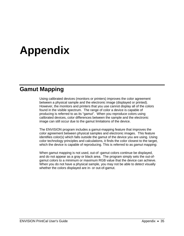# **Appendix**

#### **Gamut Mapping**

Using calibrated devices (monitors or printers) improves the color agreement between a physical sample and the electronic image (displayed or printed). However, the monitors and printers that you use cannot display all of the colors found in the visible spectrum. The range of color a device is capable of producing is referred to as its "gamut". When you reproduce colors using calibrated devices, color differences between the sample and the electronic image can still occur due to the gamut limitations of the device.

The ENVISION program includes a gamut-mapping feature that improves the color agreement between physical samples and electronic images. This feature identifies color(s) which falls outside the gamut of the device you are using. Using color technology principles and calculations, it finds the color closest to the target, which the device is capable of reproducing. This is referred to as *gamut mapping.*

When gamut mapping is not used, out-of -gamut colors continue be displayed, and do not appear as a gray or black area. The program simply sets the out-ofgamut colors to a minimum or maximum RGB value that the device can achieve. When you do not have a physical sample, you may not be able to detect visually whether the colors displayed are in- or out-of-gamut.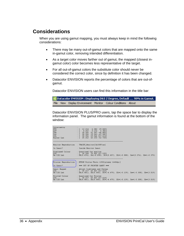#### **Considerations**

When you are using gamut mapping, you must always keep in mind the following considerations:

- There may be many out-of-gamut colors that are mapped onto the same in-gamut color, removing intended differentiation.
- As a target color moves farther out of gamut, the mapped (closest ingamut color) color becomes less representative of the target.
- For all out-of-gamut colors the substitute color should never be considered the correct color, since by definition it has been changed.
- Datacolor ENVISION reports the percentage of colors that are out-ofgamut.

Datacolor ENVISION users can find this information in the title bar:

Batacolor ENVISION : Displaying D65 2 Degree, Default . . . 99% in Gamut. File View Display Environment Monitor Colour Conditions About

Datacolor ENVISION PLUS/PRO users, tap the space bar to display the information panel. The gamut information is found at the bottom of the window:

| Colorinetry<br><b>XYZ</b><br>xyY<br>Lab<br>Luv<br><b>LCh</b><br>Hunter Lab | 29.8491<br>6.382<br>12.214<br>$0.252$ $0.132$<br>6.3821<br>30.356<br>$51.367 - 46.883$ ]<br>30.356 19.543 -67.582)<br>30.356<br>69.546 317.6141<br>25.262 43.233 -52.7281 |  |
|----------------------------------------------------------------------------|---------------------------------------------------------------------------------------------------------------------------------------------------------------------------|--|
|                                                                            | Monitor Reproduction : TRACEY Monitor[CA100Plus]                                                                                                                          |  |
| In Gamut?                                                                  | : Inside Monitor Gamut                                                                                                                                                    |  |
| Displayed Colour<br><b>LCh</b><br>De CIE Lab                               | : Ouantized for monitor<br>: $[30.268 \t 70.002 \t 317.539]$<br>: DE(0.474), Dh(-0.090), DC*(0.457), DL*(-0.088), Da*(0.276), Db*(-0.375)                                 |  |
| Printer Reproduction                                                       | : EPSON Stvlus Photo 1200 Falossy 1440dpil                                                                                                                                |  |
| In Ganut?                                                                  | : *** OUT OF PRINTER GANUT ***                                                                                                                                            |  |
| Gamut Mapped<br>LCh<br>De CIE Lab                                          | : Adjust Lightness and Chroma<br>: $\lceil 30.217 \rceil 65.067 317.614 \rceil$<br>: DE(4.481), Dh(8.000), DC*(-4.479), DL*(-8.139), Da*(-3.308), Db*(3.019)              |  |
| Printed Colour<br><b>LCh</b><br>De CIE Lab                                 | : Quantized for Printer<br>: $\lceil 30.217 \rceil 65.067 317.614 \rceil$<br>$DE(4.481)$ , $Dh(0.000)$ , $DC*(-4.479)$ , $DL*(-0.139)$ , $Da*(-3.308)$ , $Db*(3.019)$     |  |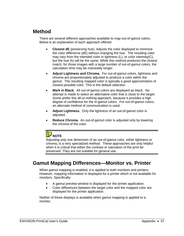#### **Method**

There are several different approaches available to map out-of-gamut colors. Below is an explanation of each approach offered:

- **Closest dE** (preserving hue). Adjusts the color displayed to minimize the color difference (dE) without changing the hue. The resulting color may vary from the intended color in lightness (L), or color intensity(C), but the hue (h) will be the same. While this method produces the closest match, for those images with a large number of out-of-gamut colors, the calculation time may be noticeably longer.
- **Adjust Lightness and Chroma.** For out-of-gamut colors, lightness and chroma are proportionately adjusted to produce a color within the gamut. The resulting mapped color is typically a good approximation of closest possible color. This is the default selection.
- **Mark in Black.** All out-of-gamut colors are displayed as black. No attempt is made to select an alternative color that is close to the target. Some prefer this all-or-nothing approach, because it provides a high degree of confidence for the in-gamut colors. For out-of-gamut colors, an alternate method of communication is used.
- **Adjust Lightness.** Only the lightness of an out-of-gamut color is adjusted.
- **Reduce Chroma.** An out-of-gamut color is adjusted only by lowering the chroma of the color.

## **NOTE**

Adjusting only one dimension of an out-of-gamut color, either lightness or chroma, is a very specialized method. These approaches are only helpful when it is critical that either the contrast or saturation of the print be preserved. They are not suitable for general use.

#### **Gamut Mapping Differences—Monitor vs. Printer**

When gamut mapping is enabled, it is applied to both monitors and printers. However, mapping information is displayed for a printer which is not available for monitors. Specifically:

- A gamut preview window is displayed for the printer application.
- Color differences between the target color and the mapped color are displayed for the printer application.

Neither of these displays is available when gamut mapping is applied to a monitor.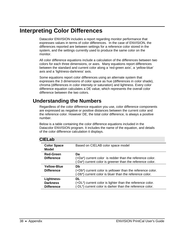#### **Interpreting Color Differences**

Datacolor ENVISION includes a report regarding monitor performance that expresses values in terms of color differences. In the case of ENVISION, the differences reported are between settings for a reference color stored in the system, and the settings currently used to produce the same color on the monitor.

All color difference equations include a calculation of the differences between two colors for each three dimensions, or axes. Many equations report differences between the standard and current color along a 'red-green axis', a 'yellow-blue' axis and a 'lightness-darkness' axis.

Some equations report color differences using an alternate system that expresses the 3 dimensions of color space as hue (differences in color shade), chroma (differences in color intensity or saturation) and lightness. Every color difference equation calculates a DE value, which represents the overall color difference between the two colors.

#### **Understanding the Numbers**

Regardless of the color difference equation you use, color difference components are expressed as negative or positive distances between the current color and the reference color. However DE, the total color difference, is always a positive number.

Below is a table containing the color difference equations included in the Datacolor ENVISION program. It includes the name of the equation, and details of the color difference calculation it displays.

#### **CIELab**

| <b>Color Space</b><br>Model                        | Based on CIELAB color space model                                                                                              |
|----------------------------------------------------|--------------------------------------------------------------------------------------------------------------------------------|
| <b>Red-Green</b><br><b>Difference</b>              | Da<br>(+Da*) current color is redder than the reference color.<br>(-Da*) current color is greener than the reference color.    |
| Yellow-Blue<br><b>Difference</b>                   | Db<br>(+Db*) current color is yellower than the reference color.<br>(-Db*) current color is bluer than the reference color.    |
| Lightness-<br><b>Darkness</b><br><b>Difference</b> | DL<br>$(+DL^*)$ current color is lighter than the reference color.<br>(-DL*) current color is darker than the reference color. |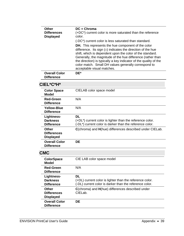| Other<br><b>Differences</b><br><b>Displayed</b> | $DC =$ Chroma<br>$(+DC^*)$ current color is more saturated than the reference<br>color.                                                                                                                                                                                                                                                                                                                             |
|-------------------------------------------------|---------------------------------------------------------------------------------------------------------------------------------------------------------------------------------------------------------------------------------------------------------------------------------------------------------------------------------------------------------------------------------------------------------------------|
|                                                 | (-DC*) current color is less saturated than standard.                                                                                                                                                                                                                                                                                                                                                               |
|                                                 | <b>DH.</b> This represents the hue component of the color<br>difference. Its sign $(\pm)$ indicates the direction of the hue<br>shift, which is dependent upon the color of the standard.<br>Generally, the magnitude of the hue difference (rather than<br>the direction) is typically a key indicator of the quality of the<br>color match. Small DH values generally correspond to<br>acceptable visual matches. |
| <b>Overall Color</b><br><b>Difference</b>       | DF*                                                                                                                                                                                                                                                                                                                                                                                                                 |

#### **CIEL\*C\*H\***

| <b>Color Space</b><br>Model                        | CIELAB color space model                                                                                                       |
|----------------------------------------------------|--------------------------------------------------------------------------------------------------------------------------------|
| <b>Red-Green</b><br><b>Difference</b>              | N/A                                                                                                                            |
| Yellow-Blue<br><b>Difference</b>                   | N/A                                                                                                                            |
| Lightness-<br><b>Darkness</b><br><b>Difference</b> | DL<br>$(+DL^*)$ current color is lighter than the reference color.<br>(-DL*) current color is darker than the reference color. |
| Other<br><b>Differences</b><br><b>Displayed</b>    | C(chroma) and H(hue) differences described under CIELab.                                                                       |
| <b>Overall Color</b><br><b>Difference</b>          | DE                                                                                                                             |

#### **CMC**

| <b>ColorSpace</b><br>Model                         | CIE LAB color space model                                                                                                 |
|----------------------------------------------------|---------------------------------------------------------------------------------------------------------------------------|
| <b>Red-Green</b><br><b>Difference</b>              | N/A                                                                                                                       |
| Lightness-<br><b>Darkness</b><br><b>Difference</b> | DL<br>(+DL) current color is lighter than the reference color.<br>(-DL) current color is darker than the reference color. |
| Other<br><b>Differences</b><br><b>Displayed</b>    | C(chroma) and H(hue) differences described under<br>CIFLab.                                                               |
| <b>Overall Color</b><br><b>Difference</b>          | DF.                                                                                                                       |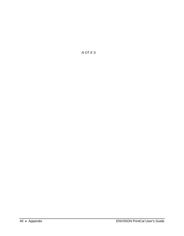*N OT E S*